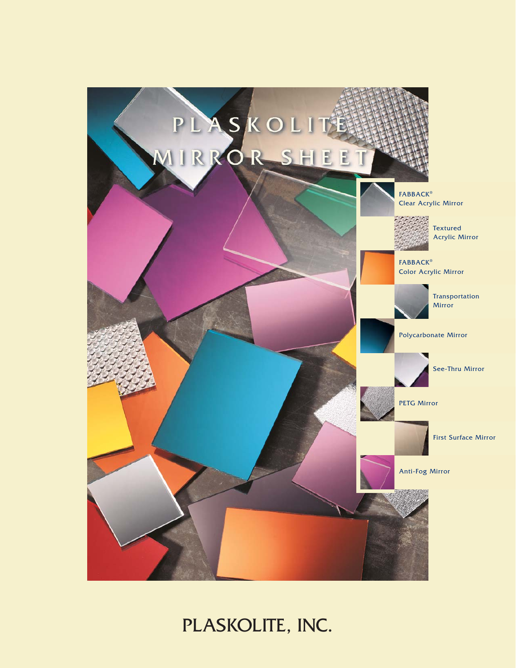

# PLASKOLITE, INC.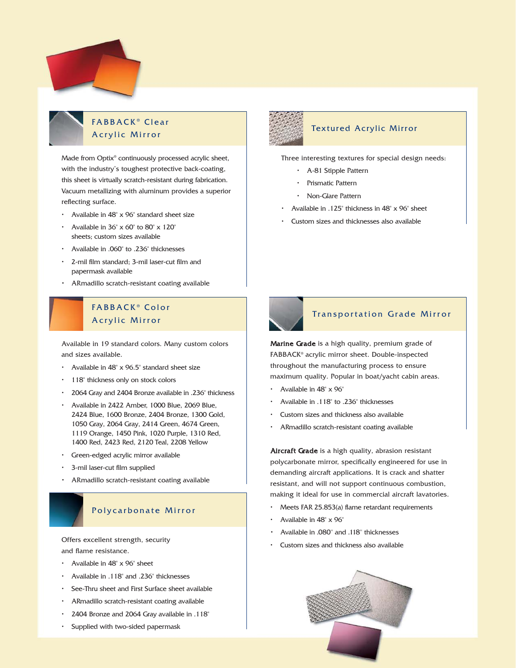### FABBACK ® Clear Acrylic Mirror

Made from Optix® continuously processed acrylic sheet, with the industry's toughest protective back-coating, this sheet is virtually scratch-resistant during fabrication. Vacuum metallizing with aluminum provides a superior reflecting surface.

- Available in 48" x 96" standard sheet size
- Available in 36" x 60" to 80" x 120" sheets; custom sizes available
- Available in .060" to .236" thicknesses
- 2-mil film standard; 3-mil laser-cut film and papermask available
- ARmadillo scratch-resistant coating available

### FABBACK ® Color FABBACK ® Color Acrylic Mirror Acrylic Mirror

Available in 19 standard colors. Many custom colors Available in 19 standard colors. Many custom colors and sizes available. and sizes available.

- Available in 48" x 96.5" standard sheet size Available in 48" x 96.5" standard sheet size
- 118" thickness only on stock colors 118" thickness only on stock colors
- 2064 Gray and 2404 Bronze available in .236" thickness 2064 Gray and 2404 Bronze available in .236" thickness
- Available in 2422 Amber, 1000 Blue, 2069 Blue, 2424 Blue, 1600 Bronze, 2404 Bronze, 1300 Gold, 2424 Blue, 1600 Bronze, 2404 Bronze, 1300 Gold, 1050 Gray, 2064 Gray, 2414 Green, 4674 Green, 1050 Gray, 2064 Gray, 2414 Green, 4674 Green, 1119 Orange, 1450 Pink, 1020 Purple, 1310 Red, 1119 Orange, 1450 Pink, 1020 Purple, 1310 Red, 1400 Red, 2423 Red, 2120 Teal, 2208 Yellow 1400 Red, 2423 Red, 2120 Teal, 2208 Yellow • Available in 2422 Amber, 1000 Blue, 2069 Blue,
- Green-edged acrylic mirror available Green-edged acrylic mirror available
- 3-mil laser-cut film supplied 3-mil laser-cut film supplied
- ARmadillo scratch-resistant coating available

### Polycarbonate Mirror Polycarbonate Mirror

Offers excellent strength, security Offers excellent strength, security and flame resistance. and flame resistance.

- Available in 48" x 96" sheet Available in 48" x 96" sheet
- Available in .118" and .236" thicknesses Available in .118" and .236" thicknesses
- See-Thru sheet and First Surface sheet available See-Thru sheet and First Surface sheet available
- ARmadillo scratch-resistant coating available ARmadillo scratch-resistant coating available
- 2404 Bronze and 2064 Gray available in .118" 2404 Bronze and 2064 Gray available in .118"
- Supplied with two-sided papermask Supplied with two-sided papermask



#### Textured Acrylic Mirror

Three interesting textures for special design needs:

- A-81 Stipple Pattern
- Prismatic Pattern
- Non-Glare Pattern
- Available in .125" thickness in 48" x 96" sheet
- Custom sizes and thicknesses also available



### Transportation Grade Mirror Transportation Grade Mirror

**Marine Grade** is a high quality, premium grade of  ${\sf FABBACK}^{\circ}$  acrylic mirror sheet. Double-inspected throughout the manufacturing process to ensure maximum quality. Popular in boat/yacht cabin areas. maximum quality. Popular in boat/yacht cabin areas.

- Available in 48" x 96" Available in 48" x 96"
- Available in .118" to .236" thicknesses Available in .118" to .236" thicknesses
- Custom sizes and thickness also available Custom sizes and thickness also available
- ARmadillo scratch-resistant coating available ARmadillo scratch-resistant coating available

Aircraft Grade is a high quality, abrasion resistant Aircraft Grade is a high quality, abrasion resistant polycarbonate mirror, specifically engineered for use in polycarbonate mirror, specifically engineered for use in Aircraft Gradedemanding aircraft applications. It is crack and shatter demanding aircraft applications. It is crack and shatter Aircraft Grade resistant, and will not support continuous combustion, resistant, and will not support continuous combustion, making it ideal for use in commercial aircraft lavatories. making it ideal for use in commercial aircraft lavatories.

- Meets FAR 25.853(a) flame retardant requirements Meets FAR 25.853(a) flame retardant requirements
- Available in 48" x 96" Available in 48" x 96"
- Available in .080" and .118" thicknesses Available in .080" and .118" thicknesses Available in .080'' and .118'' thicknesses
- Custom sizes and thickness also available Custom sizes and thickness also available

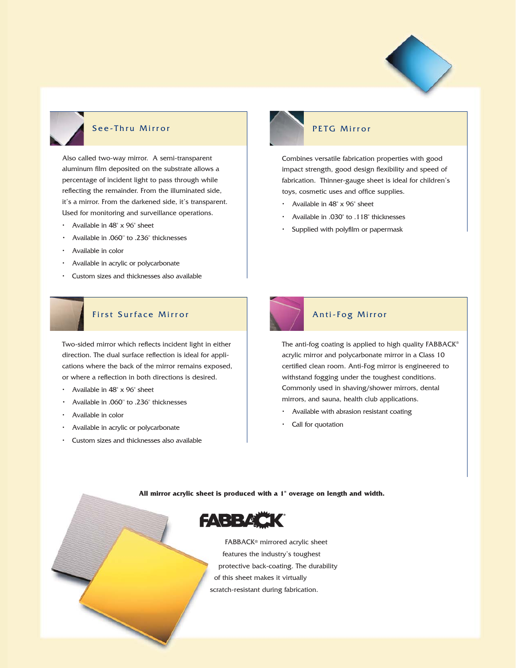

#### See-Thru Mirror

Also called two-way mirror. A semi-transparent aluminum film deposited on the substrate allows a percentage of incident light to pass through while reflecting the remainder. From the illuminated side, it's a mirror. From the darkened side, it's transparent. Used for monitoring and surveillance operations.

- Available in 48" x 96" sheet
- Available in .060" to .236" thicknesses
- Available in color
- Available in acrylic or polycarbonate
- Custom sizes and thicknesses also available

# First Surface Mirror First Surface Mirror

Two-sided mirror which reflects incident light in either direction. The dual surface reflection is ideal for appli-direction. The dual surface reflection is ideal for applications where the back of the mirror remains exposed, cations where the back of the mirror remains exposed, or where a reflection in both directions is desired. or where a reflection in both directions is desired. Two-sided mirror which reflects incident light in either

- Available in 48" x 96" sheet Available in 48" x 96" sheet
- Available in .060" to .236" thicknesses
- Available in color Available in color
- Available in acrylic or polycarbonate Available in acrylic or polycarbonate
- Custom sizes and thicknesses also available Custom sizes and thicknesses also available

#### PETG Mirror

Combines versatile fabrication properties with good impact strength, good design flexibility and speed of fabrication. Thinner-gauge sheet is ideal for children's toys, cosmetic uses and office supplies.

- Available in 48" x 96" sheet
- Available in .030" to .118" thicknesses
- Supplied with polyfilm or papermask



# Anti-Fog Mirror Anti-Fog Mirror

The anti-fog coating is applied to high quality  $\mathsf{FABBACK}^\circ$ acrylic mirror and polycarbonate mirror in a Class 10 acrylic mirror and polycarbonate mirror in a Class 10 certified clean room. Anti-Fog mirror is engineered to certified clean room. Anti-Fog mirror is engineered to withstand fogging under the toughest conditions. withstand fogging under the toughest conditions. Commonly used in shaving/shower mirrors, dental Commonly used in shaving/shower mirrors, dental mirrors, and sauna, health club applications. mirrors, and sauna, health club applications.

- Available with abrasion resistant coating Available with abrasion resistant coating
- Call for quotation Call for quotation

#### **All mirror acrylic sheet is produced with a 1" overage on length and width.**



FABBACK® mirrored acrylic sheet features the industry's toughest protective back-coating. The durability of this sheet makes it virtually scratch-resistant during fabrication.